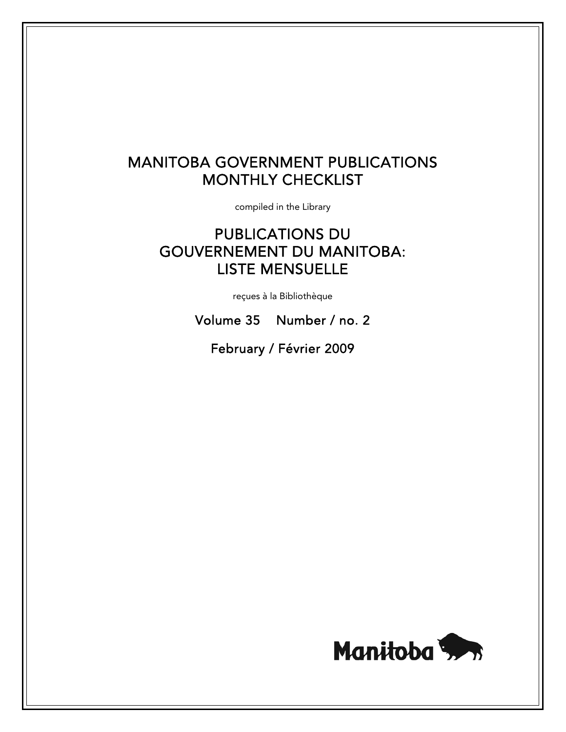# MANITOBA GOVERNMENT PUBLICATIONS MONTHLY CHECKLIST

compiled in the Library

# PUBLICATIONS DU GOUVERNEMENT DU MANITOBA: LISTE MENSUELLE

reçues à la Bibliothèque

Volume 35 Number / no. 2

February / Février 2009

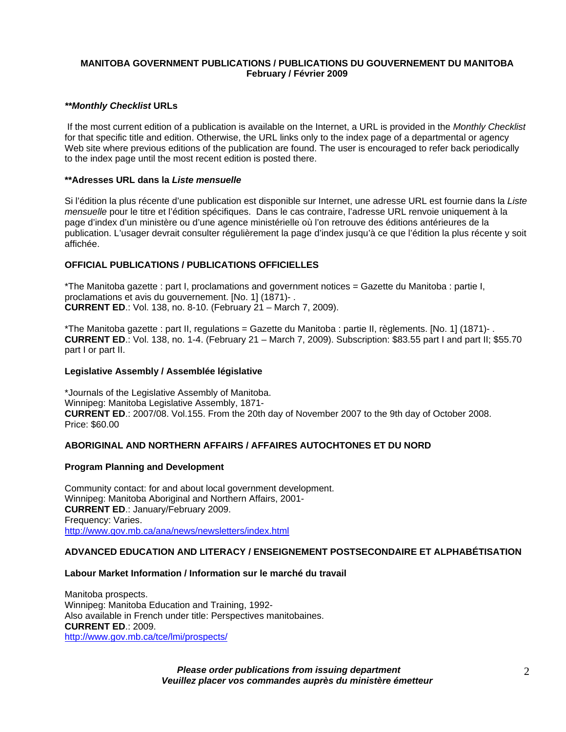## **MANITOBA GOVERNMENT PUBLICATIONS / PUBLICATIONS DU GOUVERNEMENT DU MANITOBA February / Février 2009**

#### *\*\*Monthly Checklist* **URLs**

 If the most current edition of a publication is available on the Internet, a URL is provided in the *Monthly Checklist* for that specific title and edition. Otherwise, the URL links only to the index page of a departmental or agency Web site where previous editions of the publication are found. The user is encouraged to refer back periodically to the index page until the most recent edition is posted there.

#### **\*\*Adresses URL dans la** *Liste mensuelle*

Si l'édition la plus récente d'une publication est disponible sur Internet, une adresse URL est fournie dans la *Liste mensuelle* pour le titre et l'édition spécifiques. Dans le cas contraire, l'adresse URL renvoie uniquement à la page d'index d'un ministère ou d'une agence ministérielle où l'on retrouve des éditions antérieures de la publication. L'usager devrait consulter régulièrement la page d'index jusqu'à ce que l'édition la plus récente y soit affichée.

# **OFFICIAL PUBLICATIONS / PUBLICATIONS OFFICIELLES**

\*The Manitoba gazette : part I, proclamations and government notices = Gazette du Manitoba : partie I, proclamations et avis du gouvernement. [No. 1] (1871)- . **CURRENT ED**.: Vol. 138, no. 8-10. (February 21 – March 7, 2009).

\*The Manitoba gazette : part II, regulations = Gazette du Manitoba : partie II, règlements. [No. 1] (1871)- . **CURRENT ED**.: Vol. 138, no. 1-4. (February 21 – March 7, 2009). Subscription: \$83.55 part I and part II; \$55.70 part I or part II.

## **Legislative Assembly / Assemblée législative**

\*Journals of the Legislative Assembly of Manitoba. Winnipeg: Manitoba Legislative Assembly, 1871- **CURRENT ED**.: 2007/08. Vol.155. From the 20th day of November 2007 to the 9th day of October 2008. Price: \$60.00

# **ABORIGINAL AND NORTHERN AFFAIRS / AFFAIRES AUTOCHTONES ET DU NORD**

#### **Program Planning and Development**

Community contact: for and about local government development. Winnipeg: Manitoba Aboriginal and Northern Affairs, 2001- **CURRENT ED**.: January/February 2009. Frequency: Varies. [http://www.gov.mb.ca/ana/news/newsletters/index.html](https://www.gov.mb.ca/ana/news/newsletters/index.html) 

# **ADVANCED EDUCATION AND LITERACY / ENSEIGNEMENT POSTSECONDAIRE ET ALPHABÉTISATION**

#### **Labour Market Information / Information sur le marché du travail**

Manitoba prospects. Winnipeg: Manitoba Education and Training, 1992- Also available in French under title: Perspectives manitobaines. **CURRENT ED**.: 2009. [http://www.gov.mb.ca/tce/lmi/prospects/](https://www.gov.mb.ca/tce/lmi/prospects/)

> *Please order publications from issuing department Veuillez placer vos commandes auprès du ministère émetteur*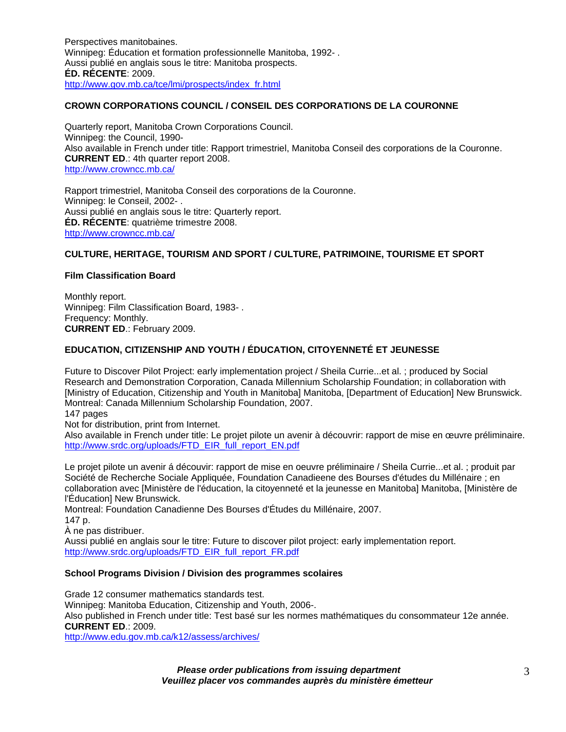Perspectives manitobaines. Winnipeg: Éducation et formation professionnelle Manitoba, 1992- . Aussi publié en anglais sous le titre: Manitoba prospects. **ÉD. RÉCENTE**: 2009. [http://www.gov.mb.ca/tce/lmi/prospects/index\\_fr.html](https://www.gov.mb.ca/tce/lmi/prospects/index_fr.html)

# **CROWN CORPORATIONS COUNCIL / CONSEIL DES CORPORATIONS DE LA COURONNE**

Quarterly report, Manitoba Crown Corporations Council. Winnipeg: the Council, 1990- Also available in French under title: Rapport trimestriel, Manitoba Conseil des corporations de la Couronne. **CURRENT ED**.: 4th quarter report 2008. <http://www.crowncc.mb.ca/>

Rapport trimestriel, Manitoba Conseil des corporations de la Couronne. Winnipeg: le Conseil, 2002- . Aussi publié en anglais sous le titre: Quarterly report. **ÉD. RÉCENTE**: quatrième trimestre 2008. <http://www.crowncc.mb.ca/>

# **CULTURE, HERITAGE, TOURISM AND SPORT / CULTURE, PATRIMOINE, TOURISME ET SPORT**

## **Film Classification Board**

Monthly report. Winnipeg: Film Classification Board, 1983- . Frequency: Monthly. **CURRENT ED**.: February 2009.

# **EDUCATION, CITIZENSHIP AND YOUTH / ÉDUCATION, CITOYENNETÉ ET JEUNESSE**

Future to Discover Pilot Project: early implementation project / Sheila Currie...et al. ; produced by Social Research and Demonstration Corporation, Canada Millennium Scholarship Foundation; in collaboration with [Ministry of Education, Citizenship and Youth in Manitoba] Manitoba, [Department of Education] New Brunswick. Montreal: Canada Millennium Scholarship Foundation, 2007.

147 pages

Not for distribution, print from Internet.

Also available in French under title: Le projet pilote un avenir à découvrir: rapport de mise en œuvre préliminaire. [http://www.srdc.org/uploads/FTD\\_EIR\\_full\\_report\\_EN.pdf](http://www.srdc.org/uploads/FTD_EIR_full_report_EN.pdf)

Le projet pilote un avenir á découvir: rapport de mise en oeuvre préliminaire / Sheila Currie...et al. ; produit par Société de Recherche Sociale Appliquée, Foundation Canadieene des Bourses d'études du Millénaire ; en collaboration avec [Ministère de l'éducation, la citoyenneté et la jeunesse en Manitoba] Manitoba, [Ministère de l'Éducation] New Brunswick.

Montreal: Foundation Canadienne Des Bourses d'Études du Millénaire, 2007. 147 p. À ne pas distribuer.

Aussi publié en anglais sour le titre: Future to discover pilot project: early implementation report. [http://www.srdc.org/uploads/FTD\\_EIR\\_full\\_report\\_FR.pdf](http://www.srdc.org/uploads/FTD_EIR_full_report_FR.pdf)

# **School Programs Division / Division des programmes scolaires**

Grade 12 consumer mathematics standards test. Winnipeg: Manitoba Education, Citizenship and Youth, 2006-. Also published in French under title: Test basé sur les normes mathématiques du consommateur 12e année. **CURRENT ED**.: 2009.

<http://www.edu.gov.mb.ca/k12/assess/archives/>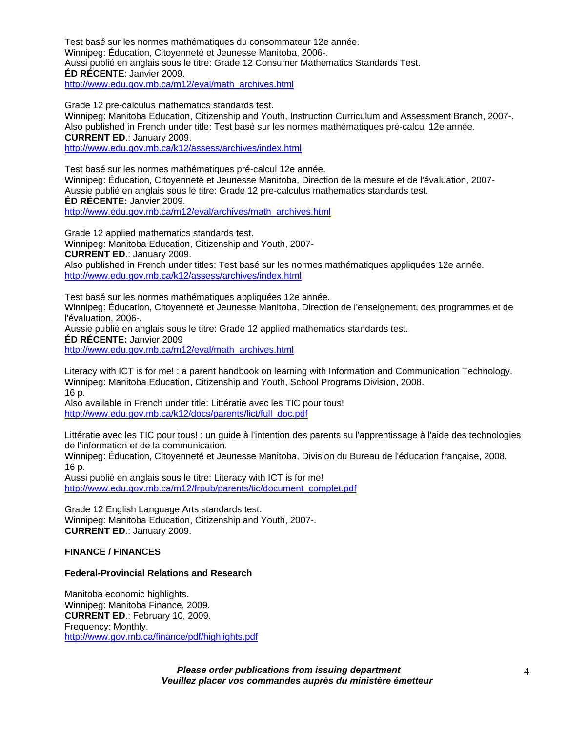Test basé sur les normes mathématiques du consommateur 12e année. Winnipeg: Éducation, Citoyenneté et Jeunesse Manitoba, 2006-. Aussi publié en anglais sous le titre: Grade 12 Consumer Mathematics Standards Test. **ÉD RÉCENTE**: Janvier 2009. [http://www.edu.gov.mb.ca/m12/eval/math\\_archives.html](http://www.edu.gov.mb.ca/m12/eval/math_archives.html) 

Grade 12 pre-calculus mathematics standards test.

Winnipeg: Manitoba Education, Citizenship and Youth, Instruction Curriculum and Assessment Branch, 2007-. Also published in French under title: Test basé sur les normes mathématiques pré-calcul 12e année. **CURRENT ED**.: January 2009.

<http://www.edu.gov.mb.ca/k12/assess/archives/index.html>

Test basé sur les normes mathématiques pré-calcul 12e année. Winnipeg: Éducation, Citoyenneté et Jeunesse Manitoba, Direction de la mesure et de l'évaluation, 2007- Aussie publié en anglais sous le titre: Grade 12 pre-calculus mathematics standards test. **ÉD RÉCENTE:** Janvier 2009.

[http://www.edu.gov.mb.ca/m12/eval/archives/math\\_archives.html](http://www.edu.gov.mb.ca/m12/eval/archives/math_archives.html)

Grade 12 applied mathematics standards test. Winnipeg: Manitoba Education, Citizenship and Youth, 2007- **CURRENT ED**.: January 2009. Also published in French under titles: Test basé sur les normes mathématiques appliquées 12e année. <http://www.edu.gov.mb.ca/k12/assess/archives/index.html>

Test basé sur les normes mathématiques appliquées 12e année.

Winnipeg: Éducation, Citoyenneté et Jeunesse Manitoba, Direction de l'enseignement, des programmes et de l'évaluation, 2006-.

Aussie publié en anglais sous le titre: Grade 12 applied mathematics standards test. **ÉD RÉCENTE:** Janvier 2009

[http://www.edu.gov.mb.ca/m12/eval/math\\_archives.html](http://www.edu.gov.mb.ca/m12/eval/math_archives.html)

Literacy with ICT is for me! : a parent handbook on learning with Information and Communication Technology. Winnipeg: Manitoba Education, Citizenship and Youth, School Programs Division, 2008. 16 p.

Also available in French under title: Littératie avec les TIC pour tous! [http://www.edu.gov.mb.ca/k12/docs/parents/lict/full\\_doc.pdf](http://www.edu.gov.mb.ca/k12/docs/parents/lict/full_doc.pdf)

Littératie avec les TIC pour tous! : un guide à l'intention des parents su l'apprentissage à l'aide des technologies de l'information et de la communication.

Winnipeg: Éducation, Citoyenneté et Jeunesse Manitoba, Division du Bureau de l'éducation française, 2008. 16 p.

Aussi publié en anglais sous le titre: Literacy with ICT is for me! [http://www.edu.gov.mb.ca/m12/frpub/parents/tic/document\\_complet.pdf](http://www.edu.gov.mb.ca/m12/frpub/parents/tic/document_complet.pdf)

Grade 12 English Language Arts standards test. Winnipeg: Manitoba Education, Citizenship and Youth, 2007-. **CURRENT ED**.: January 2009.

# **FINANCE / FINANCES**

#### **Federal-Provincial Relations and Research**

Manitoba economic highlights. Winnipeg: Manitoba Finance, 2009. **CURRENT ED**.: February 10, 2009. Frequency: Monthly. [http://www.gov.mb.ca/finance/pdf/highlights.pdf](https://www.gov.mb.ca/finance/pdf/highlights.pdf)

> *Please order publications from issuing department Veuillez placer vos commandes auprès du ministère émetteur*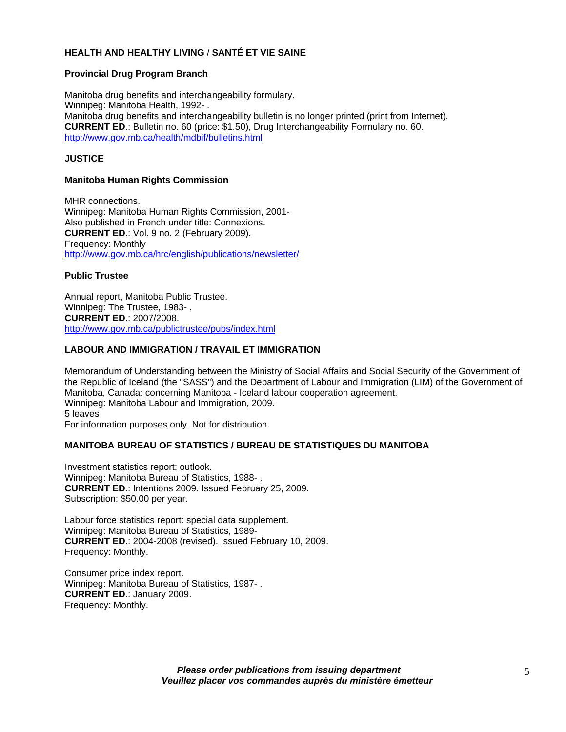# **HEALTH AND HEALTHY LIVING** / **SANTÉ ET VIE SAINE**

#### **Provincial Drug Program Branch**

Manitoba drug benefits and interchangeability formulary. Winnipeg: Manitoba Health, 1992- . Manitoba drug benefits and interchangeability bulletin is no longer printed (print from Internet). **CURRENT ED**.: Bulletin no. 60 (price: \$1.50), Drug Interchangeability Formulary no. 60. [http://www.gov.mb.ca/health/mdbif/bulletins.html](https://www.gov.mb.ca/health/mdbif/bulletins.html)

## **JUSTICE**

#### **Manitoba Human Rights Commission**

MHR connections. Winnipeg: Manitoba Human Rights Commission, 2001- Also published in French under title: Connexions. **CURRENT ED**.: Vol. 9 no. 2 (February 2009). Frequency: Monthly [http://www.gov.mb.ca/hrc/english/publications/newsletter/](https://www.gov.mb.ca/hrc/english/publications/newsletter/) 

## **Public Trustee**

Annual report, Manitoba Public Trustee. Winnipeg: The Trustee, 1983- . **CURRENT ED**.: 2007/2008. [http://www.gov.mb.ca/publictrustee/pubs/index.html](https://www.gov.mb.ca/publictrustee/pubs/index.html) 

## **LABOUR AND IMMIGRATION / TRAVAIL ET IMMIGRATION**

Memorandum of Understanding between the Ministry of Social Affairs and Social Security of the Government of the Republic of Iceland (the "SASS") and the Department of Labour and Immigration (LIM) of the Government of Manitoba, Canada: concerning Manitoba - Iceland labour cooperation agreement. Winnipeg: Manitoba Labour and Immigration, 2009. 5 leaves For information purposes only. Not for distribution.

#### **MANITOBA BUREAU OF STATISTICS / BUREAU DE STATISTIQUES DU MANITOBA**

Investment statistics report: outlook. Winnipeg: Manitoba Bureau of Statistics, 1988- . **CURRENT ED**.: Intentions 2009. Issued February 25, 2009. Subscription: \$50.00 per year.

Labour force statistics report: special data supplement. Winnipeg: Manitoba Bureau of Statistics, 1989- **CURRENT ED**.: 2004-2008 (revised). Issued February 10, 2009. Frequency: Monthly.

Consumer price index report. Winnipeg: Manitoba Bureau of Statistics, 1987- . **CURRENT ED**.: January 2009. Frequency: Monthly.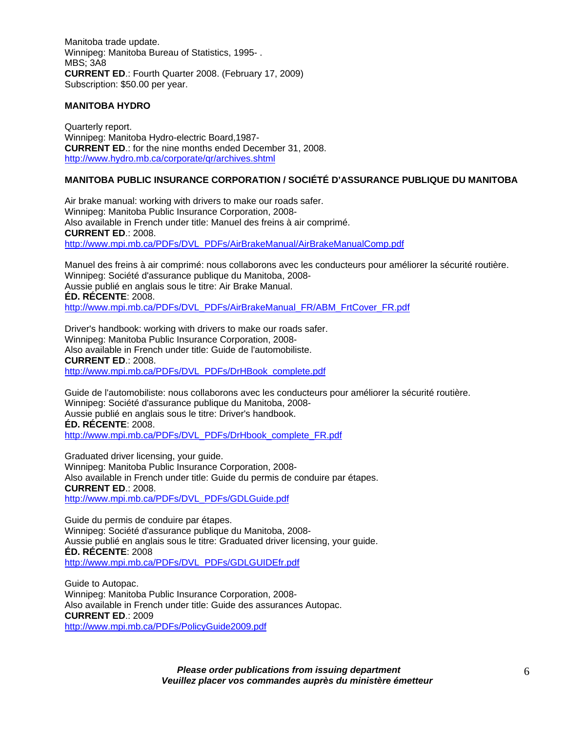Manitoba trade update. Winnipeg: Manitoba Bureau of Statistics, 1995- . MBS; 3A8 **CURRENT ED**.: Fourth Quarter 2008. (February 17, 2009) Subscription: \$50.00 per year.

## **MANITOBA HYDRO**

Quarterly report. Winnipeg: Manitoba Hydro-electric Board,1987- **CURRENT ED**.: for the nine months ended December 31, 2008. <http://www.hydro.mb.ca/corporate/qr/archives.shtml>

# **MANITOBA PUBLIC INSURANCE CORPORATION / SOCIÉTÉ D'ASSURANCE PUBLIQUE DU MANITOBA**

Air brake manual: working with drivers to make our roads safer. Winnipeg: Manitoba Public Insurance Corporation, 2008- Also available in French under title: Manuel des freins à air comprimé. **CURRENT ED**.: 2008. [http://www.mpi.mb.ca/PDFs/DVL\\_PDFs/AirBrakeManual/AirBrakeManualComp.pdf](http://www.mpi.mb.ca/PDFs/DVL_PDFs/AirBrakeManual/AirBrakeManualComp.pdf)

Manuel des freins à air comprimé: nous collaborons avec les conducteurs pour améliorer la sécurité routière. Winnipeg: Société d'assurance publique du Manitoba, 2008- Aussie publié en anglais sous le titre: Air Brake Manual. **ÉD. RÉCENTE**: 2008. [http://www.mpi.mb.ca/PDFs/DVL\\_PDFs/AirBrakeManual\\_FR/ABM\\_FrtCover\\_FR.pdf](http://www.mpi.mb.ca/PDFs/DVL_PDFs/AirBrakeManual_FR/ABM_FrtCover_FR.pdf)

Driver's handbook: working with drivers to make our roads safer. Winnipeg: Manitoba Public Insurance Corporation, 2008- Also available in French under title: Guide de l'automobiliste. **CURRENT ED**.: 2008. [http://www.mpi.mb.ca/PDFs/DVL\\_PDFs/DrHBook\\_complete.pdf](http://www.mpi.mb.ca/PDFs/DVL_PDFs/DrHBook_complete.pdf)

Guide de l'automobiliste: nous collaborons avec les conducteurs pour améliorer la sécurité routière. Winnipeg: Société d'assurance publique du Manitoba, 2008- Aussie publié en anglais sous le titre: Driver's handbook. **ÉD. RÉCENTE**: 2008. [http://www.mpi.mb.ca/PDFs/DVL\\_PDFs/DrHbook\\_complete\\_FR.pdf](http://www.mpi.mb.ca/PDFs/DVL_PDFs/DrHbook_complete_FR.pdf)

Graduated driver licensing, your guide. Winnipeg: Manitoba Public Insurance Corporation, 2008- Also available in French under title: Guide du permis de conduire par étapes. **CURRENT ED**.: 2008. [http://www.mpi.mb.ca/PDFs/DVL\\_PDFs/GDLGuide.pdf](http://www.mpi.mb.ca/PDFs/DVL_PDFs/GDLGuide.pdf)

Guide du permis de conduire par étapes. Winnipeg: Société d'assurance publique du Manitoba, 2008- Aussie publié en anglais sous le titre: Graduated driver licensing, your guide. **ÉD. RÉCENTE**: 2008 [http://www.mpi.mb.ca/PDFs/DVL\\_PDFs/GDLGUIDEfr.pdf](http://www.mpi.mb.ca/PDFs/DVL_PDFs/GDLGUIDEfr.pdf)

Guide to Autopac. Winnipeg: Manitoba Public Insurance Corporation, 2008- Also available in French under title: Guide des assurances Autopac. **CURRENT ED**.: 2009 <http://www.mpi.mb.ca/PDFs/PolicyGuide2009.pdf>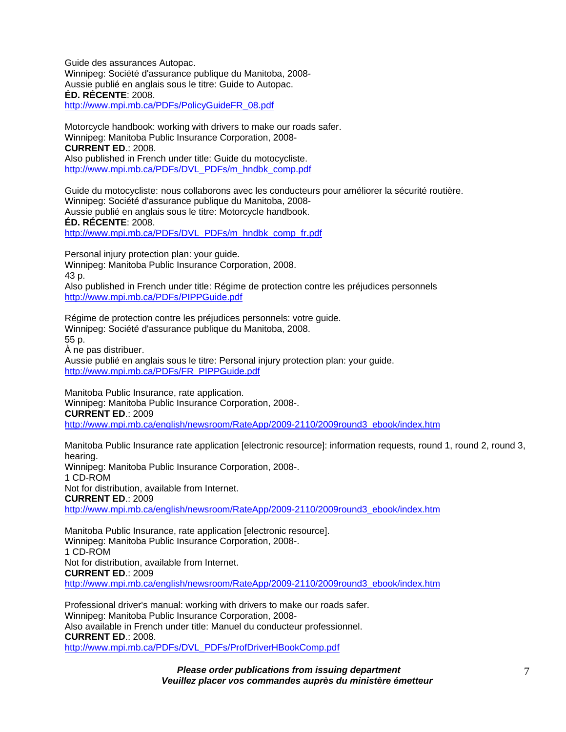Guide des assurances Autopac. Winnipeg: Société d'assurance publique du Manitoba, 2008- Aussie publié en anglais sous le titre: Guide to Autopac. **ÉD. RÉCENTE**: 2008.

[http://www.mpi.mb.ca/PDFs/PolicyGuideFR\\_08.pdf](http://www.mpi.mb.ca/PDFs/PolicyGuideFR_08.pdf)

Motorcycle handbook: working with drivers to make our roads safer. Winnipeg: Manitoba Public Insurance Corporation, 2008- **CURRENT ED**.: 2008. Also published in French under title: Guide du motocycliste.

[http://www.mpi.mb.ca/PDFs/DVL\\_PDFs/m\\_hndbk\\_comp.pdf](http://www.mpi.mb.ca/PDFs/DVL_PDFs/m_hndbk_comp.pdf)

Guide du motocycliste: nous collaborons avec les conducteurs pour améliorer la sécurité routière. Winnipeg: Société d'assurance publique du Manitoba, 2008- Aussie publié en anglais sous le titre: Motorcycle handbook. **ÉD. RÉCENTE**: 2008.

[http://www.mpi.mb.ca/PDFs/DVL\\_PDFs/m\\_hndbk\\_comp\\_fr.pdf](http://www.mpi.mb.ca/PDFs/DVL_PDFs/m_hndbk_comp_fr.pdf)

Personal injury protection plan: your guide. Winnipeg: Manitoba Public Insurance Corporation, 2008. 43 p.

Also published in French under title: Régime de protection contre les préjudices personnels <http://www.mpi.mb.ca/PDFs/PIPPGuide.pdf>

Régime de protection contre les préjudices personnels: votre guide. Winnipeg: Société d'assurance publique du Manitoba, 2008. 55 p. À ne pas distribuer.

Aussie publié en anglais sous le titre: Personal injury protection plan: your guide. [http://www.mpi.mb.ca/PDFs/FR\\_PIPPGuide.pdf](http://www.mpi.mb.ca/PDFs/FR_PIPPGuide.pdf)

Manitoba Public Insurance, rate application. Winnipeg: Manitoba Public Insurance Corporation, 2008-. **CURRENT ED**.: 2009 [http://www.mpi.mb.ca/english/newsroom/RateApp/2009-2110/2009round3\\_ebook/index.htm](http://www.mpi.mb.ca/english/newsroom/RateApp/2009-2110/2009round3_ebook/index.htm)

Manitoba Public Insurance rate application [electronic resource]: information requests, round 1, round 2, round 3, hearing.

Winnipeg: Manitoba Public Insurance Corporation, 2008-. 1 CD-ROM Not for distribution, available from Internet. **CURRENT ED**.: 2009

[http://www.mpi.mb.ca/english/newsroom/RateApp/2009-2110/2009round3\\_ebook/index.htm](http://www.mpi.mb.ca/english/newsroom/RateApp/2009-2110/2009round3_ebook/index.htm)

Manitoba Public Insurance, rate application [electronic resource]. Winnipeg: Manitoba Public Insurance Corporation, 2008-. 1 CD-ROM Not for distribution, available from Internet. **CURRENT ED**.: 2009 [http://www.mpi.mb.ca/english/newsroom/RateApp/2009-2110/2009round3\\_ebook/index.htm](http://www.mpi.mb.ca/english/newsroom/RateApp/2009-2110/2009round3_ebook/index.htm)

Professional driver's manual: working with drivers to make our roads safer. Winnipeg: Manitoba Public Insurance Corporation, 2008- Also available in French under title: Manuel du conducteur professionnel. **CURRENT ED**.: 2008. [http://www.mpi.mb.ca/PDFs/DVL\\_PDFs/ProfDriverHBookComp.pdf](http://www.mpi.mb.ca/PDFs/DVL_PDFs/ProfDriverHBookComp.pdf)

*Please order publications from issuing department* 

*Veuillez placer vos commandes auprès du ministère émetteur*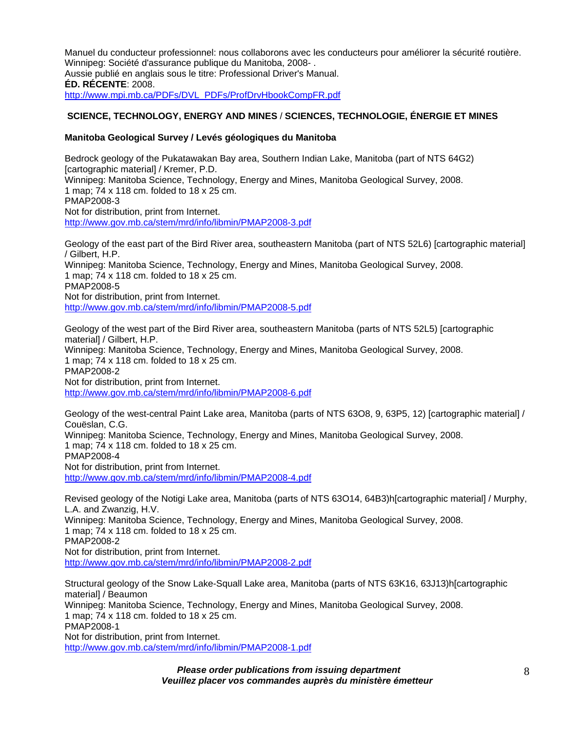Manuel du conducteur professionnel: nous collaborons avec les conducteurs pour améliorer la sécurité routière. Winnipeg: Société d'assurance publique du Manitoba, 2008- . Aussie publié en anglais sous le titre: Professional Driver's Manual. **ÉD. RÉCENTE**: 2008. [http://www.mpi.mb.ca/PDFs/DVL\\_PDFs/ProfDrvHbookCompFR.pdf](http://www.mpi.mb.ca/PDFs/DVL_PDFs/ProfDrvHbookCompFR.pdf)

# **SCIENCE, TECHNOLOGY, ENERGY AND MINES** / **SCIENCES, TECHNOLOGIE, ÉNERGIE ET MINES**

## **Manitoba Geological Survey / Levés géologiques du Manitoba**

Bedrock geology of the Pukatawakan Bay area, Southern Indian Lake, Manitoba (part of NTS 64G2) [cartographic material] / Kremer, P.D. Winnipeg: Manitoba Science, Technology, Energy and Mines, Manitoba Geological Survey, 2008. 1 map; 74 x 118 cm. folded to 18 x 25 cm. PMAP2008-3 Not for distribution, print from Internet. [http://www.gov.mb.ca/stem/mrd/info/libmin/PMAP2008-3.pdf](https://www.gov.mb.ca/stem/mrd/info/libmin/PMAP2008-3.pdf)

Geology of the east part of the Bird River area, southeastern Manitoba (part of NTS 52L6) [cartographic material] / Gilbert, H.P. Winnipeg: Manitoba Science, Technology, Energy and Mines, Manitoba Geological Survey, 2008. 1 map; 74 x 118 cm. folded to 18 x 25 cm. PMAP2008-5 Not for distribution, print from Internet. [http://www.gov.mb.ca/stem/mrd/info/libmin/PMAP2008-5.pdf](https://www.gov.mb.ca/stem/mrd/info/libmin/PMAP2008-5.pdf)

Geology of the west part of the Bird River area, southeastern Manitoba (parts of NTS 52L5) [cartographic material] / Gilbert, H.P. Winnipeg: Manitoba Science, Technology, Energy and Mines, Manitoba Geological Survey, 2008. 1 map; 74 x 118 cm. folded to 18 x 25 cm. PMAP2008-2 Not for distribution, print from Internet. [http://www.gov.mb.ca/stem/mrd/info/libmin/PMAP2008-6.pdf](https://www.gov.mb.ca/stem/mrd/info/libmin/PMAP2008-6.pdf)

Geology of the west-central Paint Lake area, Manitoba (parts of NTS 63O8, 9, 63P5, 12) [cartographic material] / Couëslan, C.G. Winnipeg: Manitoba Science, Technology, Energy and Mines, Manitoba Geological Survey, 2008. 1 map; 74 x 118 cm. folded to 18 x 25 cm. PMAP2008-4 Not for distribution, print from Internet. [http://www.gov.mb.ca/stem/mrd/info/libmin/PMAP2008-4.pdf](https://www.gov.mb.ca/stem/mrd/info/libmin/PMAP2008-4.pdf)

Revised geology of the Notigi Lake area, Manitoba (parts of NTS 63O14, 64B3)h[cartographic material] / Murphy, L.A. and Zwanzig, H.V. Winnipeg: Manitoba Science, Technology, Energy and Mines, Manitoba Geological Survey, 2008. 1 map; 74 x 118 cm. folded to 18 x 25 cm. PMAP2008-2 Not for distribution, print from Internet. [http://www.gov.mb.ca/stem/mrd/info/libmin/PMAP2008-2.pdf](https://www.gov.mb.ca/stem/mrd/info/libmin/PMAP2008-2.pdf)

Structural geology of the Snow Lake-Squall Lake area, Manitoba (parts of NTS 63K16, 63J13)h[cartographic material] / Beaumon Winnipeg: Manitoba Science, Technology, Energy and Mines, Manitoba Geological Survey, 2008. 1 map; 74 x 118 cm. folded to 18 x 25 cm. PMAP2008-1 Not for distribution, print from Internet. [http://www.gov.mb.ca/stem/mrd/info/libmin/PMAP2008-1.pdf](https://www.gov.mb.ca/stem/mrd/info/libmin/PMAP2008-1.pdf)